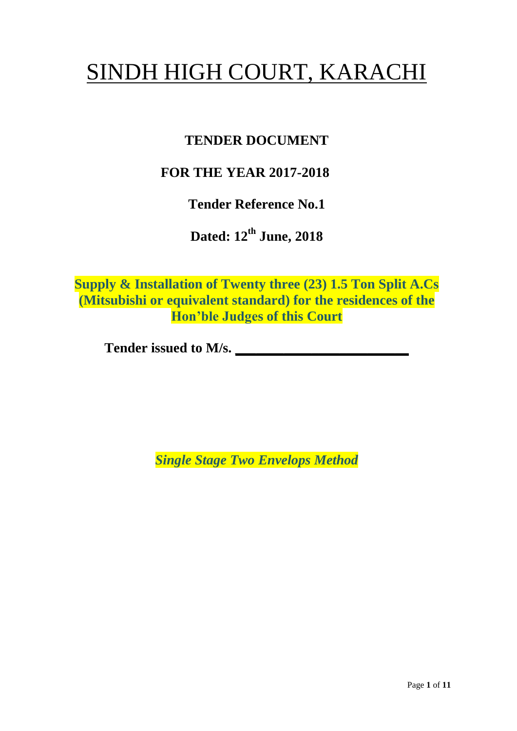# SINDH HIGH COURT, KARACHI

## **TENDER DOCUMENT**

## **FOR THE YEAR 2017-2018**

**Tender Reference No.1**

**Dated: 12th June, 2018**

**Supply & Installation of Twenty three (23) 1.5 Ton Split A.Cs (Mitsubishi or equivalent standard) for the residences of the Hon'ble Judges of this Court**

**Tender issued to M/s. \_\_\_\_\_\_\_\_\_\_\_\_\_\_\_\_\_\_\_\_\_\_\_\_\_**

*Single Stage Two Envelops Method*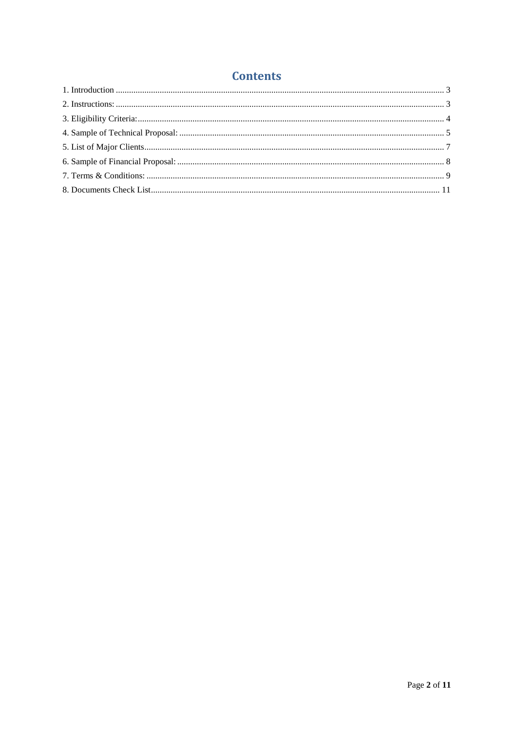#### **Contents**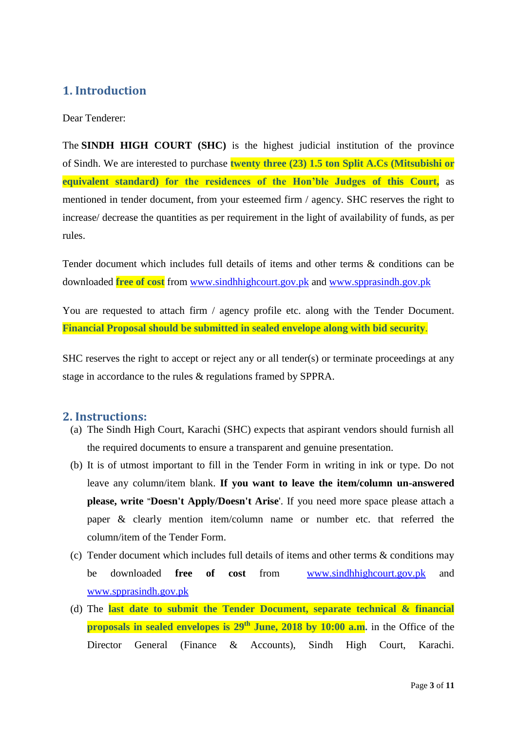#### <span id="page-2-0"></span>**1. Introduction**

Dear Tenderer:

The **SINDH HIGH COURT (SHC)** is the highest judicial institution of the province of [Sindh.](https://en.wikipedia.org/wiki/Sindh) We are interested to purchase **twenty three (23) 1.5 ton Split A.Cs (Mitsubishi or equivalent standard) for the residences of the Hon'ble Judges of this Court,** as mentioned in tender document, from your esteemed firm / agency. SHC reserves the right to increase/ decrease the quantities as per requirement in the light of availability of funds, as per rules.

Tender document which includes full details of items and other terms & conditions can be downloaded **free of cost** from [www.sindhhighcourt.gov.pk](http://www.sindhhighcourt.gov.pk/) and [www.spprasindh.gov.pk](http://www.spprasindh.gov.pk/)

You are requested to attach firm / agency profile etc. along with the Tender Document. **Financial Proposal should be submitted in sealed envelope along with bid security**.

SHC reserves the right to accept or reject any or all tender(s) or terminate proceedings at any stage in accordance to the rules & regulations framed by SPPRA.

#### <span id="page-2-1"></span>**2. Instructions:**

- (a) The Sindh High Court, Karachi (SHC) expects that aspirant vendors should furnish all the required documents to ensure a transparent and genuine presentation.
- (b) It is of utmost important to fill in the Tender Form in writing in ink or type. Do not leave any column/item blank. **If you want to leave the item/column un-answered please, write "Doesn't Apply/Doesn't Arise**'. If you need more space please attach a paper & clearly mention item/column name or number etc. that referred the column/item of the Tender Form.
- (c) Tender document which includes full details of items and other terms & conditions may be downloaded **free of cost** from [www.sindhhighcourt.gov.pk](http://www.sindhhighcourt.gov.pk/) and [www.spprasindh.gov.pk](http://www.spprasindh.gov.pk/)
- (d) The **last date to submit the Tender Document, separate technical & financial proposals in sealed envelopes is**  $29<sup>th</sup>$  **June, 2018 by 10:00 a.m.** in the Office of the Director General (Finance & Accounts), Sindh High Court, Karachi.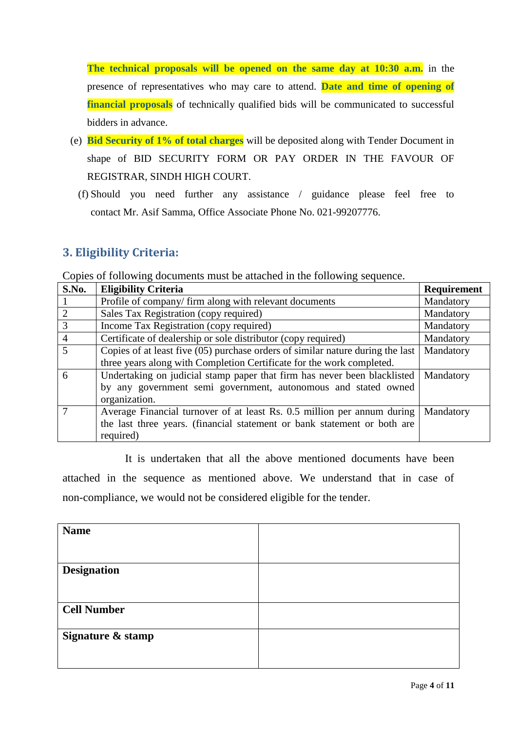**The technical proposals will be opened on the same day at 10:30 a.m.** in the presence of representatives who may care to attend. **Date and time of opening of financial proposals** of technically qualified bids will be communicated to successful bidders in advance.

- (e) **Bid Security of 1% of total charges** will be deposited along with Tender Document in shape of BID SECURITY FORM OR PAY ORDER IN THE FAVOUR OF REGISTRAR, SINDH HIGH COURT.
	- (f) Should you need further any assistance / guidance please feel free to contact Mr. Asif Samma, Office Associate Phone No. 021-99207776.

#### <span id="page-3-0"></span>**3. Eligibility Criteria:**

Copies of following documents must be attached in the following sequence.

| S.No.          | <b>Eligibility Criteria</b>                                                    | <b>Requirement</b> |
|----------------|--------------------------------------------------------------------------------|--------------------|
|                | Profile of company/ firm along with relevant documents                         | Mandatory          |
| 2              | Sales Tax Registration (copy required)                                         | Mandatory          |
| 3              | Income Tax Registration (copy required)                                        | Mandatory          |
| $\overline{4}$ | Certificate of dealership or sole distributor (copy required)                  | Mandatory          |
| 5              | Copies of at least five (05) purchase orders of similar nature during the last | Mandatory          |
|                | three years along with Completion Certificate for the work completed.          |                    |
| 6              | Undertaking on judicial stamp paper that firm has never been blacklisted       | Mandatory          |
|                | by any government semi government, autonomous and stated owned                 |                    |
|                | organization.                                                                  |                    |
|                | Average Financial turnover of at least Rs. 0.5 million per annum during        | Mandatory          |
|                | the last three years. (financial statement or bank statement or both are       |                    |
|                | required)                                                                      |                    |

It is undertaken that all the above mentioned documents have been attached in the sequence as mentioned above. We understand that in case of non-compliance, we would not be considered eligible for the tender.

| <b>Name</b>        |  |
|--------------------|--|
|                    |  |
|                    |  |
| <b>Designation</b> |  |
|                    |  |
|                    |  |
| <b>Cell Number</b> |  |
|                    |  |
| Signature & stamp  |  |
|                    |  |
|                    |  |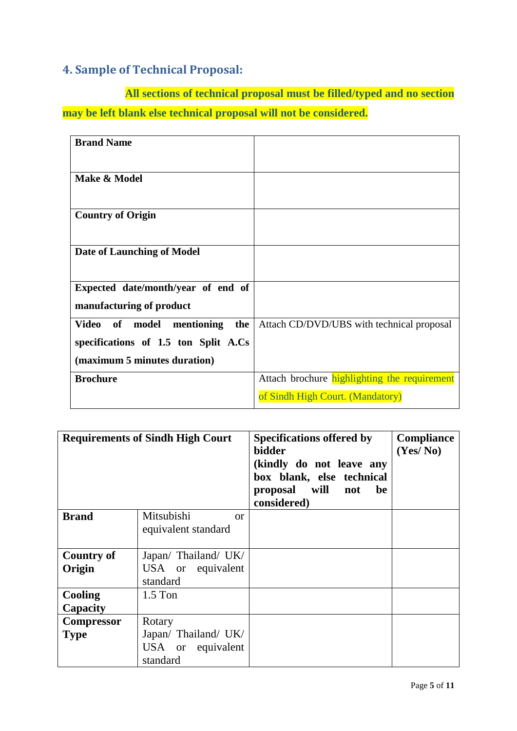#### <span id="page-4-0"></span>**4. Sample of Technical Proposal:**

**All sections of technical proposal must be filled/typed and no section may be left blank else technical proposal will not be considered.**

| <b>Brand Name</b>                             |                                              |
|-----------------------------------------------|----------------------------------------------|
|                                               |                                              |
| Make & Model                                  |                                              |
|                                               |                                              |
| <b>Country of Origin</b>                      |                                              |
|                                               |                                              |
| <b>Date of Launching of Model</b>             |                                              |
|                                               |                                              |
| Expected date/month/year of end of            |                                              |
| manufacturing of product                      |                                              |
| mentioning<br><b>Video</b><br>of model<br>the | Attach CD/DVD/UBS with technical proposal    |
| specifications of 1.5 ton Split A.Cs          |                                              |
| (maximum 5 minutes duration)                  |                                              |
| <b>Brochure</b>                               | Attach brochure highlighting the requirement |
|                                               | of Sindh High Court. (Mandatory)             |

| <b>Requirements of Sindh High Court</b> |                                                                 | <b>Specifications offered by</b><br>bidder<br>(kindly do not leave any<br>box blank, else technical<br>proposal will<br>be<br>not<br>considered) | <b>Compliance</b><br>(Yes/No) |
|-----------------------------------------|-----------------------------------------------------------------|--------------------------------------------------------------------------------------------------------------------------------------------------|-------------------------------|
| <b>Brand</b>                            | Mitsubishi<br>$\alpha$<br>equivalent standard                   |                                                                                                                                                  |                               |
| <b>Country of</b><br>Origin             | Japan/ Thailand/ UK/<br>USA or equivalent<br>standard           |                                                                                                                                                  |                               |
| $1.5$ Ton<br>Cooling<br>Capacity        |                                                                 |                                                                                                                                                  |                               |
| <b>Compressor</b><br><b>Type</b>        | Rotary<br>Japan/ Thailand/ UK/<br>USA or equivalent<br>standard |                                                                                                                                                  |                               |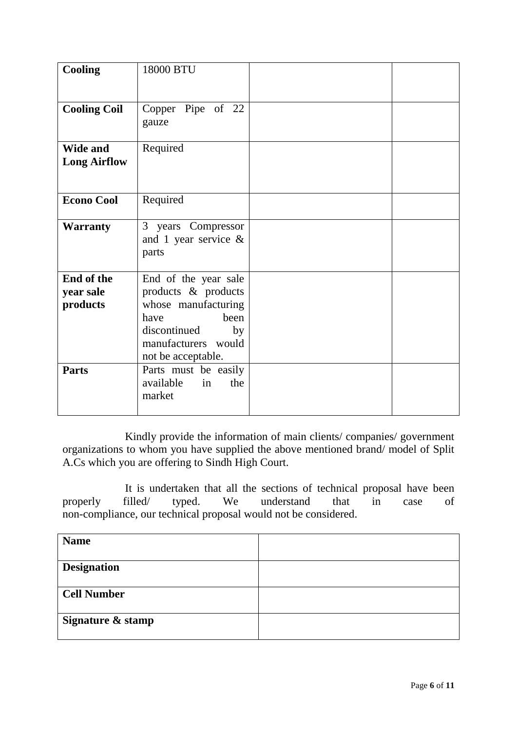| <b>Cooling</b>                         | 18000 BTU                                                                                                                                             |  |  |
|----------------------------------------|-------------------------------------------------------------------------------------------------------------------------------------------------------|--|--|
| <b>Cooling Coil</b>                    | Copper Pipe of 22<br>gauze                                                                                                                            |  |  |
| <b>Wide and</b><br><b>Long Airflow</b> | Required                                                                                                                                              |  |  |
| <b>Econo Cool</b>                      | Required                                                                                                                                              |  |  |
| <b>Warranty</b>                        | 3 years Compressor<br>and 1 year service $\&$<br>parts                                                                                                |  |  |
| End of the<br>year sale<br>products    | End of the year sale<br>products & products<br>whose manufacturing<br>have<br>been<br>discontinued<br>by<br>manufacturers would<br>not be acceptable. |  |  |
| <b>Parts</b>                           | Parts must be easily<br>available<br>the<br>in<br>market                                                                                              |  |  |

Kindly provide the information of main clients/ companies/ government organizations to whom you have supplied the above mentioned brand/ model of Split A.Cs which you are offering to Sindh High Court.

It is undertaken that all the sections of technical proposal have been filled typed. We understand that in case of properly filled/ typed. We understand that in case of non-compliance, our technical proposal would not be considered.

| <b>Name</b>        |  |
|--------------------|--|
| <b>Designation</b> |  |
| <b>Cell Number</b> |  |
| Signature & stamp  |  |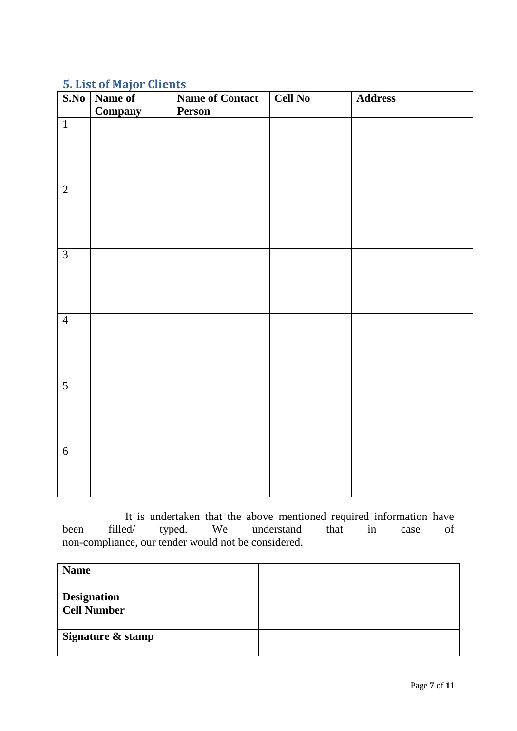## <span id="page-6-0"></span>**5. List of Major Clients**

| S.No           | Name of<br>Company | <b>Name of Contact</b><br>Person | Cell No | <b>Address</b> |
|----------------|--------------------|----------------------------------|---------|----------------|
| $\overline{1}$ |                    |                                  |         |                |
|                |                    |                                  |         |                |
| $\overline{2}$ |                    |                                  |         |                |
|                |                    |                                  |         |                |
| $\overline{3}$ |                    |                                  |         |                |
|                |                    |                                  |         |                |
| $\overline{4}$ |                    |                                  |         |                |
| $\overline{5}$ |                    |                                  |         |                |
|                |                    |                                  |         |                |
| $\overline{6}$ |                    |                                  |         |                |

It is undertaken that the above mentioned required information have filled/ typed. We understand that in case of been filled/ typed. We understand that in case of non-compliance, our tender would not be considered.

| <b>Name</b>        |  |
|--------------------|--|
| <b>Designation</b> |  |
| <b>Cell Number</b> |  |
|                    |  |
| Signature & stamp  |  |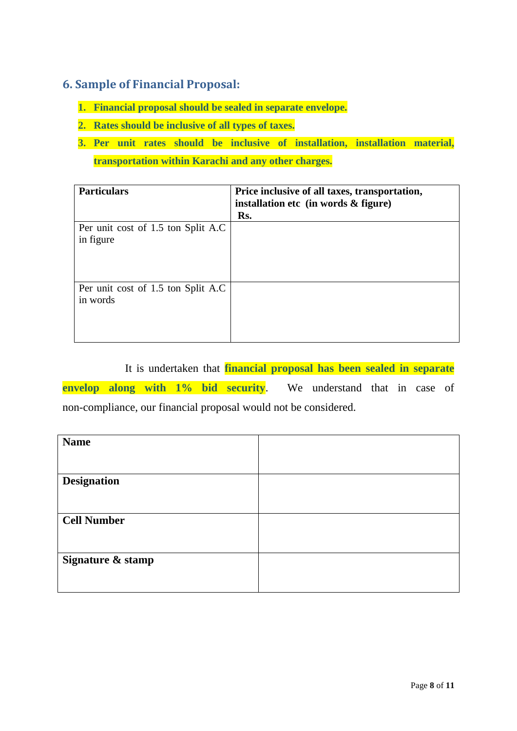#### <span id="page-7-0"></span>**6. Sample of Financial Proposal:**

- **1. Financial proposal should be sealed in separate envelope.**
- **2. Rates should be inclusive of all types of taxes.**
- **3. Per unit rates should be inclusive of installation, installation material, transportation within Karachi and any other charges.**

| <b>Particulars</b>                               | Price inclusive of all taxes, transportation,<br>installation etc (in words & figure) |
|--------------------------------------------------|---------------------------------------------------------------------------------------|
|                                                  | Rs.                                                                                   |
| Per unit cost of 1.5 ton Split A.C.<br>in figure |                                                                                       |
| Per unit cost of 1.5 ton Split A.C<br>in words   |                                                                                       |

It is undertaken that **financial proposal has been sealed in separate envelop along with 1% bid security**. We understand that in case of non-compliance, our financial proposal would not be considered.

| <b>Name</b>        |  |
|--------------------|--|
|                    |  |
| <b>Designation</b> |  |
|                    |  |
| <b>Cell Number</b> |  |
|                    |  |
| Signature & stamp  |  |
|                    |  |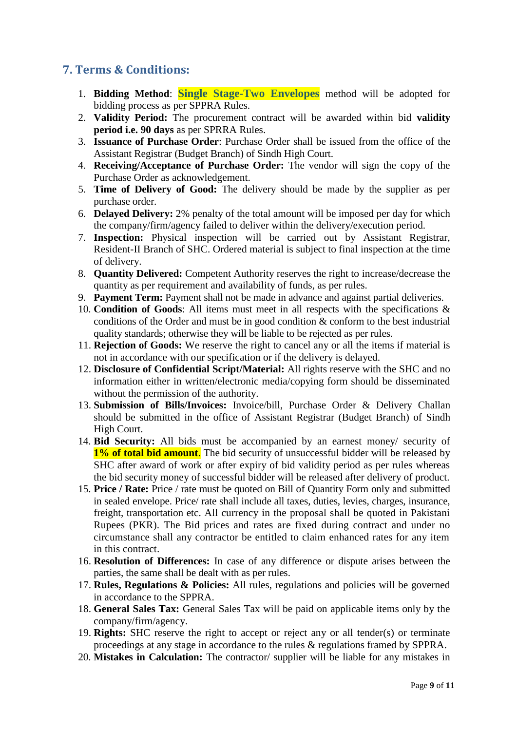#### <span id="page-8-0"></span>**7. Terms & Conditions:**

- 1. **Bidding Method**: **Single Stage-Two Envelopes** method will be adopted for bidding process as per SPPRA Rules.
- 2. **Validity Period:** The procurement contract will be awarded within bid **validity period i.e. 90 days** as per SPRRA Rules.
- 3. **Issuance of Purchase Order**: Purchase Order shall be issued from the office of the Assistant Registrar (Budget Branch) of Sindh High Court.
- 4. **Receiving/Acceptance of Purchase Order:** The vendor will sign the copy of the Purchase Order as acknowledgement.
- 5. **Time of Delivery of Good:** The delivery should be made by the supplier as per purchase order.
- 6. **Delayed Delivery:** 2% penalty of the total amount will be imposed per day for which the company/firm/agency failed to deliver within the delivery/execution period.
- 7. **Inspection:** Physical inspection will be carried out by Assistant Registrar, Resident-II Branch of SHC. Ordered material is subject to final inspection at the time of delivery.
- 8. **Quantity Delivered:** Competent Authority reserves the right to increase/decrease the quantity as per requirement and availability of funds, as per rules.
- 9. **Payment Term:** Payment shall not be made in advance and against partial deliveries.
- 10. **Condition of Goods**: All items must meet in all respects with the specifications & conditions of the Order and must be in good condition & conform to the best industrial quality standards; otherwise they will be liable to be rejected as per rules.
- 11. **Rejection of Goods:** We reserve the right to cancel any or all the items if material is not in accordance with our specification or if the delivery is delayed.
- 12. **Disclosure of Confidential Script/Material:** All rights reserve with the SHC and no information either in written/electronic media/copying form should be disseminated without the permission of the authority.
- 13. **Submission of Bills/Invoices:** Invoice/bill, Purchase Order & Delivery Challan should be submitted in the office of Assistant Registrar (Budget Branch) of Sindh High Court.
- 14. **Bid Security:** All bids must be accompanied by an earnest money/ security of **1% of total bid amount**. The bid security of unsuccessful bidder will be released by SHC after award of work or after expiry of bid validity period as per rules whereas the bid security money of successful bidder will be released after delivery of product.
- 15. **Price / Rate:** Price / rate must be quoted on Bill of Quantity Form only and submitted in sealed envelope. Price/ rate shall include all taxes, duties, levies, charges, insurance, freight, transportation etc. All currency in the proposal shall be quoted in Pakistani Rupees (PKR). The Bid prices and rates are fixed during contract and under no circumstance shall any contractor be entitled to claim enhanced rates for any item in this contract.
- 16. **Resolution of Differences:** In case of any difference or dispute arises between the parties, the same shall be dealt with as per rules.
- 17. **Rules, Regulations & Policies:** All rules, regulations and policies will be governed in accordance to the SPPRA.
- 18. **General Sales Tax:** General Sales Tax will be paid on applicable items only by the company/firm/agency.
- 19. **Rights:** SHC reserve the right to accept or reject any or all tender(s) or terminate proceedings at any stage in accordance to the rules & regulations framed by SPPRA.
- 20. **Mistakes in Calculation:** The contractor/ supplier will be liable for any mistakes in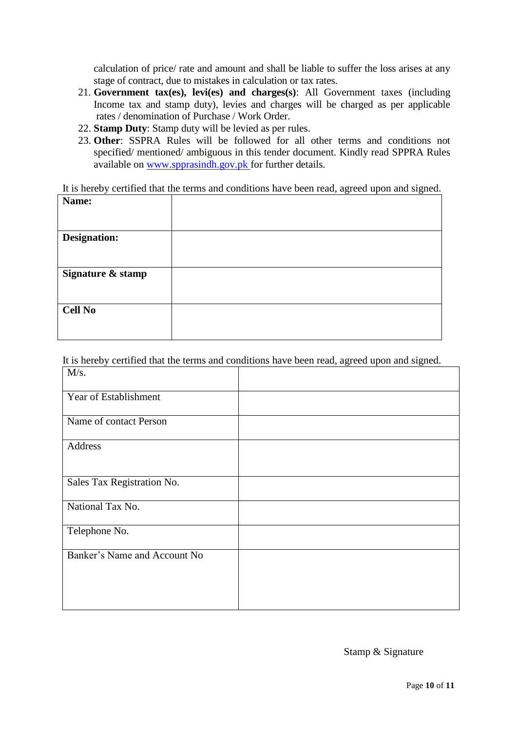calculation of price/ rate and amount and shall be liable to suffer the loss arises at any stage of contract, due to mistakes in calculation or tax rates.

- 21. **Government tax(es), levi(es) and charges(s)**: All Government taxes (including Income tax and stamp duty), levies and charges will be charged as per applicable rates / denomination of Purchase / Work Order.
- 22. **Stamp Duty**: Stamp duty will be levied as per rules.
- 23. **Other**: SSPRA Rules will be followed for all other terms and conditions not specified/ mentioned/ ambiguous in this tender document. Kindly read SPPRA Rules available on [www.spprasindh.gov.pk](http://www.spprasindh.gov.pk/) for further details.

It is hereby certified that the terms and conditions have been read, agreed upon and signed. **Name:**

| <b>Name:</b>        |  |
|---------------------|--|
|                     |  |
|                     |  |
|                     |  |
| <b>Designation:</b> |  |
|                     |  |
|                     |  |
|                     |  |
| Signature & stamp   |  |
|                     |  |
|                     |  |
|                     |  |
| <b>Cell No</b>      |  |
|                     |  |
|                     |  |
|                     |  |
|                     |  |

It is hereby certified that the terms and conditions have been read, agreed upon and signed.

| M/s.                         |  |
|------------------------------|--|
| Year of Establishment        |  |
| Name of contact Person       |  |
| Address                      |  |
| Sales Tax Registration No.   |  |
| National Tax No.             |  |
| Telephone No.                |  |
| Banker's Name and Account No |  |

Stamp & Signature